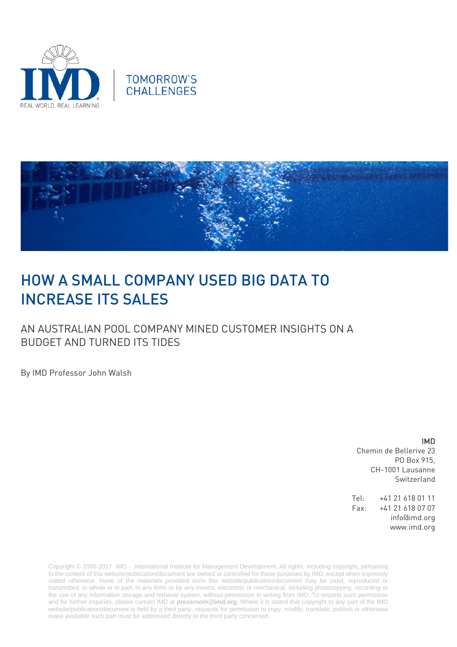





# HOW A SMALL COMPANY USED BIG DATA TO INCREASE ITS SALES

AN AUSTRALIAN POOL COMPANY MINED CUSTOMER INSIGHTS ON A BUDGET AND TURNED ITS TIDES

By IMD Professor John Walsh

#### IMD

Chemin de Bellerive 23 PO Box 915, CH-1001 Lausanne Switzerland

Tel: +41 21 618 01 11 Fax: +41 21 618 07 07 info@imd.org www.imd.org

Copyright © 2006-2017 IMD - International Institute for Management Development. All rights, including copyright, pertaining to the content of this website/publication/document are owned or controlled for these purposes by IMD, except when expressly stated otherwise. None of the materials provided on/in this website/publication/document may be used, reproduced or transmitted, in whole or in part, in any form or by any means, electronic or mechanical, including photocopying, recording or the use of any information storage and retrieval system, without permission in writing from IMD. To request such permission and for further inquiries, please contact IMD at **[pressroom@imd.org](mailto:pressroom@imd.org)**. Where it is stated that copyright to any part of the IMD website/publication/document is held by a third party, requests for permission to copy, modify, translate, publish or otherwise make available such part must be addressed directly to the third party concerned.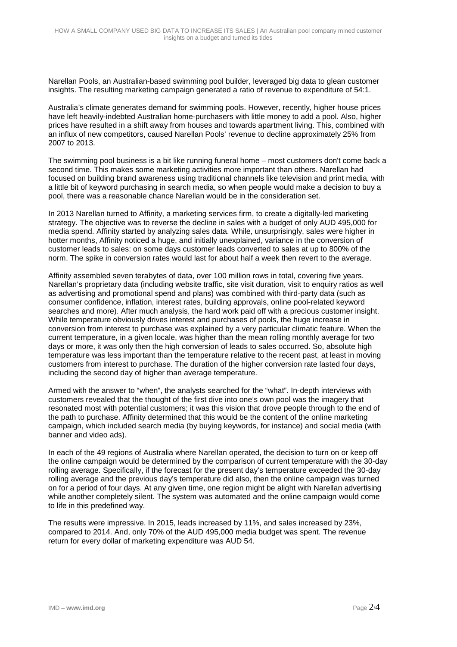Narellan Pools, an Australian-based swimming pool builder, leveraged big data to glean customer insights. The resulting marketing campaign generated a ratio of revenue to expenditure of 54:1.

Australia's climate generates demand for swimming pools. However, recently, higher house prices have left heavily-indebted Australian home-purchasers with little money to add a pool. Also, higher prices have resulted in a shift away from houses and towards apartment living. This, combined with an influx of new competitors, caused Narellan Pools' revenue to decline approximately 25% from 2007 to 2013.

The swimming pool business is a bit like running funeral home – most customers don't come back a second time. This makes some marketing activities more important than others. Narellan had focused on building brand awareness using traditional channels like television and print media, with a little bit of keyword purchasing in search media, so when people would make a decision to buy a pool, there was a reasonable chance Narellan would be in the consideration set.

In 2013 Narellan turned to Affinity, a marketing services firm, to create a digitally-led marketing strategy. The objective was to reverse the decline in sales with a budget of only AUD 495,000 for media spend. Affinity started by analyzing sales data. While, unsurprisingly, sales were higher in hotter months, Affinity noticed a huge, and initially unexplained, variance in the conversion of customer leads to sales: on some days customer leads converted to sales at up to 800% of the norm. The spike in conversion rates would last for about half a week then revert to the average.

Affinity assembled seven terabytes of data, over 100 million rows in total, covering five years. Narellan's proprietary data (including website traffic, site visit duration, visit to enquiry ratios as well as advertising and promotional spend and plans) was combined with third-party data (such as consumer confidence, inflation, interest rates, building approvals, online pool-related keyword searches and more). After much analysis, the hard work paid off with a precious customer insight. While temperature obviously drives interest and purchases of pools, the huge increase in conversion from interest to purchase was explained by a very particular climatic feature. When the current temperature, in a given locale, was higher than the mean rolling monthly average for two days or more, it was only then the high conversion of leads to sales occurred. So, absolute high temperature was less important than the temperature relative to the recent past, at least in moving customers from interest to purchase. The duration of the higher conversion rate lasted four days, including the second day of higher than average temperature.

Armed with the answer to "when", the analysts searched for the "what". In-depth interviews with customers revealed that the thought of the first dive into one's own pool was the imagery that resonated most with potential customers; it was this vision that drove people through to the end of the path to purchase. Affinity determined that this would be the content of the online marketing campaign, which included search media (by buying keywords, for instance) and social media (with banner and video ads).

In each of the 49 regions of Australia where Narellan operated, the decision to turn on or keep off the online campaign would be determined by the comparison of current temperature with the 30-day rolling average. Specifically, if the forecast for the present day's temperature exceeded the 30-day rolling average and the previous day's temperature did also, then the online campaign was turned on for a period of four days. At any given time, one region might be alight with Narellan advertising while another completely silent. The system was automated and the online campaign would come to life in this predefined way.

The results were impressive. In 2015, leads increased by 11%, and sales increased by 23%, compared to 2014. And, only 70% of the AUD 495,000 media budget was spent. The revenue return for every dollar of marketing expenditure was AUD 54.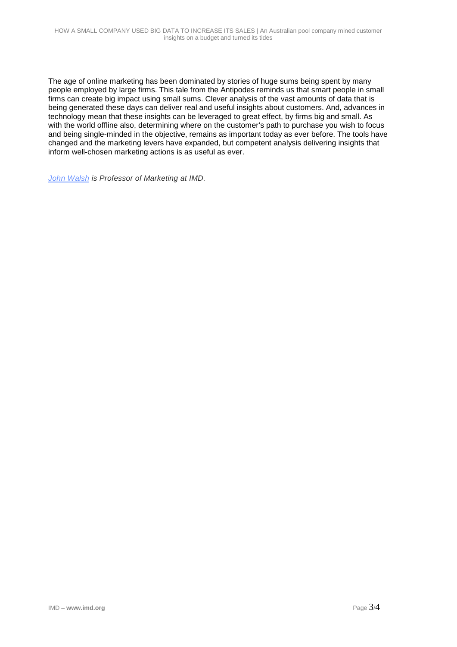The age of online marketing has been dominated by stories of huge sums being spent by many people employed by large firms. This tale from the Antipodes reminds us that smart people in small firms can create big impact using small sums. Clever analysis of the vast amounts of data that is being generated these days can deliver real and useful insights about customers. And, advances in technology mean that these insights can be leveraged to great effect, by firms big and small. As with the world offline also, determining where on the customer's path to purchase you wish to focus and being single-minded in the objective, remains as important today as ever before. The tools have changed and the marketing levers have expanded, but competent analysis delivering insights that inform well-chosen marketing actions is as useful as ever.

*[John Walsh](http://www.imd.org/about/facultystaff/walsh.cfm) is Professor of Marketing at IMD.*